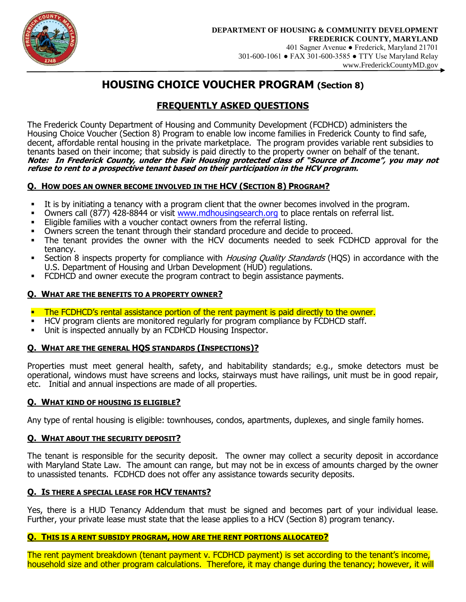

# **HOUSING CHOICE VOUCHER PROGRAM (Section 8)**

## **FREQUENTLY ASKED QUESTIONS**

The Frederick County Department of Housing and Community Development (FCDHCD) administers the Housing Choice Voucher (Section 8) Program to enable low income families in Frederick County to find safe, decent, affordable rental housing in the private marketplace. The program provides variable rent subsidies to tenants based on their income; that subsidy is paid directly to the property owner on behalf of the tenant. **Note: In Frederick County, under the Fair Housing protected class of "Source of Income", you may not refuse to rent to a prospective tenant based on their participation in the HCV program.**

## **Q. HOW DOES AN OWNER BECOME INVOLVED IN THE HCV (SECTION 8) PROGRAM?**

- It is by initiating a tenancy with a program client that the owner becomes involved in the program.
- Owners call (877) 428-8844 or visit [www.mdhousingsearch.org](http://www.mdhousingsearch.org/) to place rentals on referral list.
- Eligible families with a voucher contact owners from the referral listing.
- Owners screen the tenant through their standard procedure and decide to proceed.
- The tenant provides the owner with the HCV documents needed to seek FCDHCD approval for the tenancy.
- **Section 8 inspects property for compliance with** *Housing Quality Standards* **(HQS) in accordance with the** U.S. Department of Housing and Urban Development (HUD) regulations.
- FCDHCD and owner execute the program contract to begin assistance payments.

## **Q. WHAT ARE THE BENEFITS TO A PROPERTY OWNER?**

- **The FCDHCD's rental assistance portion of the rent payment is paid directly to the owner.**
- HCV program clients are monitored regularly for program compliance by FCDHCD staff.
- Unit is inspected annually by an FCDHCD Housing Inspector.

## **Q. WHAT ARE THE GENERAL HQS STANDARDS (INSPECTIONS)?**

Properties must meet general health, safety, and habitability standards; e.g., smoke detectors must be operational, windows must have screens and locks, stairways must have railings, unit must be in good repair, etc. Initial and annual inspections are made of all properties.

## **Q. WHAT KIND OF HOUSING IS ELIGIBLE?**

Any type of rental housing is eligible: townhouses, condos, apartments, duplexes, and single family homes.

## **Q. WHAT ABOUT THE SECURITY DEPOSIT?**

The tenant is responsible for the security deposit. The owner may collect a security deposit in accordance with Maryland State Law. The amount can range, but may not be in excess of amounts charged by the owner to unassisted tenants. FCDHCD does not offer any assistance towards security deposits.

## **Q. IS THERE A SPECIAL LEASE FOR HCV TENANTS?**

Yes, there is a HUD Tenancy Addendum that must be signed and becomes part of your individual lease. Further, your private lease must state that the lease applies to a HCV (Section 8) program tenancy.

## **Q. THIS IS A RENT SUBSIDY PROGRAM, HOW ARE THE RENT PORTIONS ALLOCATED?**

The rent payment breakdown (tenant payment v. FCDHCD payment) is set according to the tenant's income, household size and other program calculations. Therefore, it may change during the tenancy; however, it will